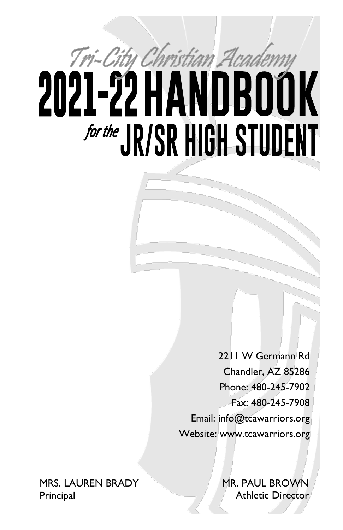# Tri-City Christian Academy 2021-22 HANDBOOK **for the JR/SR HIGH STUDENT**

2211 W Germann Rd Chandler, AZ 85286 Phone: 480-245-7902 Fax: 480-245-7908 Email: info@tcawarriors.org Website: www.tcawarriors.org

MRS. LAUREN BRADY **Principal** 

MR. PAUL BROWN Athletic Director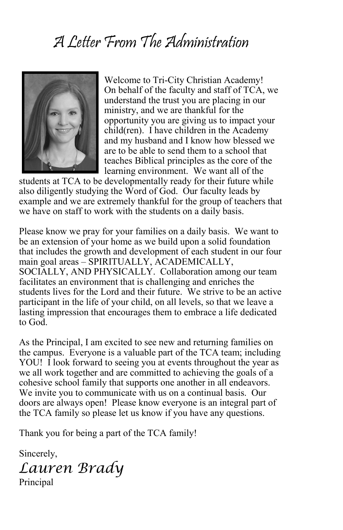# A Letter From The Administration



Welcome to Tri-City Christian Academy! On behalf of the faculty and staff of TCA, we understand the trust you are placing in our ministry, and we are thankful for the opportunity you are giving us to impact your child(ren). I have children in the Academy and my husband and I know how blessed we are to be able to send them to a school that teaches Biblical principles as the core of the learning environment. We want all of the

students at TCA to be developmentally ready for their future while also diligently studying the Word of God. Our faculty leads by example and we are extremely thankful for the group of teachers that we have on staff to work with the students on a daily basis.

Please know we pray for your families on a daily basis. We want to be an extension of your home as we build upon a solid foundation that includes the growth and development of each student in our four main goal areas – SPIRITUALLY, ACADEMICALLY, SOCIALLY, AND PHYSICALLY. Collaboration among our team facilitates an environment that is challenging and enriches the students lives for the Lord and their future. We strive to be an active participant in the life of your child, on all levels, so that we leave a lasting impression that encourages them to embrace a life dedicated to God.

As the Principal, I am excited to see new and returning families on the campus. Everyone is a valuable part of the TCA team; including YOU! I look forward to seeing you at events throughout the year as we all work together and are committed to achieving the goals of a cohesive school family that supports one another in all endeavors. We invite you to communicate with us on a continual basis. Our doors are always open! Please know everyone is an integral part of the TCA family so please let us know if you have any questions.

Thank you for being a part of the TCA family!

Sincerely,

*Lauren Brady* Principal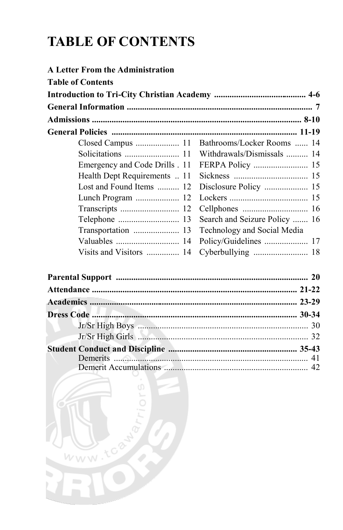# **TABLE OF CONTENTS**

WWW.tcawa

b.

ó

| <b>A Letter From the Administration</b> |                                              |
|-----------------------------------------|----------------------------------------------|
| <b>Table of Contents</b>                |                                              |
|                                         |                                              |
|                                         |                                              |
|                                         |                                              |
|                                         |                                              |
|                                         | Closed Campus  11 Bathrooms/Locker Rooms  14 |
|                                         | Withdrawals/Dismissals  14                   |
| Emergency and Code Drills . 11          |                                              |
| Health Dept Requirements  11            |                                              |
| Lost and Found Items  12                | Disclosure Policy  15                        |
| Lunch Program  12                       |                                              |
| Transcripts  12                         |                                              |
|                                         | Search and Seizure Policy  16                |
| Transportation  13                      | Technology and Social Media                  |
|                                         | Policy/Guidelines  17                        |
| Visits and Visitors  14                 |                                              |
|                                         |                                              |
|                                         |                                              |
|                                         |                                              |
|                                         |                                              |
|                                         |                                              |
|                                         | Jr/Sr High Girls <b>Election 22</b>          |
|                                         |                                              |
|                                         |                                              |
|                                         |                                              |
|                                         |                                              |
|                                         |                                              |
|                                         |                                              |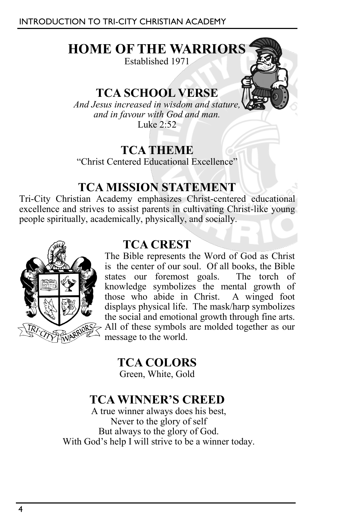# **HOME OF THE WARRIORS**

Established 1971

# **TCA SCHOOL VERSE**

*And Jesus increased in wisdom and stature, and in favour with God and man.*  Luke 2:52

# **TCA THEME**

"Christ Centered Educational Excellence"

# **TCA MISSION STATEMENT**

Tri-City Christian Academy emphasizes Christ-centered educational excellence and strives to assist parents in cultivating Christ-like young people spiritually, academically, physically, and socially.



# **TCA CREST**

The Bible represents the Word of God as Christ is the center of our soul. Of all books, the Bible states our foremost goals. The torch of knowledge symbolizes the mental growth of those who abide in Christ. A winged foot displays physical life. The mask/harp symbolizes the social and emotional growth through fine arts. All of these symbols are molded together as our message to the world.

**TCA COLORS** Green, White, Gold

# **TCA WINNER'S CREED**

A true winner always does his best, Never to the glory of self But always to the glory of God. With God's help I will strive to be a winner today.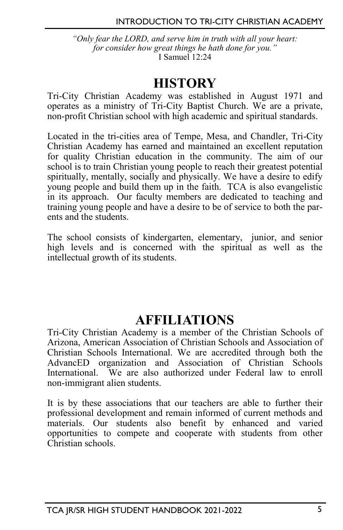*"Only fear the LORD, and serve him in truth with all your heart: for consider how great things he hath done for you."* I Samuel 12:24

# **HISTORY**

Tri-City Christian Academy was established in August 1971 and operates as a ministry of Tri-City Baptist Church. We are a private, non-profit Christian school with high academic and spiritual standards.

Located in the tri-cities area of Tempe, Mesa, and Chandler, Tri-City Christian Academy has earned and maintained an excellent reputation for quality Christian education in the community. The aim of our school is to train Christian young people to reach their greatest potential spiritually, mentally, socially and physically. We have a desire to edify young people and build them up in the faith. TCA is also evangelistic in its approach. Our faculty members are dedicated to teaching and training young people and have a desire to be of service to both the parents and the students.

The school consists of kindergarten, elementary, junior, and senior high levels and is concerned with the spiritual as well as the intellectual growth of its students.

# **AFFILIATIONS**

Tri-City Christian Academy is a member of the Christian Schools of Arizona, American Association of Christian Schools and Association of Christian Schools International. We are accredited through both the AdvancED organization and Association of Christian Schools International. We are also authorized under Federal law to enroll non-immigrant alien students.

It is by these associations that our teachers are able to further their professional development and remain informed of current methods and materials. Our students also benefit by enhanced and varied opportunities to compete and cooperate with students from other Christian schools.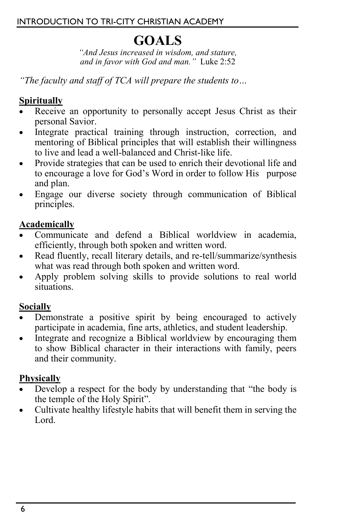# **GOALS**

*"And Jesus increased in wisdom, and stature, and in favor with God and man."* Luke 2:52

*"The faculty and staff of TCA will prepare the students to…*

# **Spiritually**

- Receive an opportunity to personally accept Jesus Christ as their personal Savior.
- Integrate practical training through instruction, correction, and mentoring of Biblical principles that will establish their willingness to live and lead a well-balanced and Christ-like life.
- Provide strategies that can be used to enrich their devotional life and to encourage a love for God's Word in order to follow His purpose and plan.
- Engage our diverse society through communication of Biblical principles.

# **Academically**

- Communicate and defend a Biblical worldview in academia, efficiently, through both spoken and written word.
- Read fluently, recall literary details, and re-tell/summarize/synthesis what was read through both spoken and written word.
- Apply problem solving skills to provide solutions to real world situations.

# **Socially**

- Demonstrate a positive spirit by being encouraged to actively participate in academia, fine arts, athletics, and student leadership.
- Integrate and recognize a Biblical worldview by encouraging them to show Biblical character in their interactions with family, peers and their community.

## **Physically**

- Develop a respect for the body by understanding that "the body is the temple of the Holy Spirit".
- Cultivate healthy lifestyle habits that will benefit them in serving the Lord.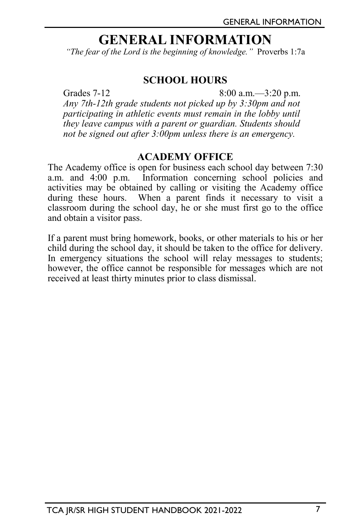# **GENERAL INFORMATION**

*"The fear of the Lord is the beginning of knowledge."* Proverbs 1:7a

#### **SCHOOL HOURS**

Grades 7-12 8:00 a.m. -3:20 p.m. *Any 7th-12th grade students not picked up by 3:30pm and not participating in athletic events must remain in the lobby until they leave campus with a parent or guardian. Students should not be signed out after 3:00pm unless there is an emergency.* 

#### **ACADEMY OFFICE**

The Academy office is open for business each school day between 7:30 a.m. and 4:00 p.m. Information concerning school policies and activities may be obtained by calling or visiting the Academy office during these hours. When a parent finds it necessary to visit a classroom during the school day, he or she must first go to the office and obtain a visitor pass.

If a parent must bring homework, books, or other materials to his or her child during the school day, it should be taken to the office for delivery. In emergency situations the school will relay messages to students; however, the office cannot be responsible for messages which are not received at least thirty minutes prior to class dismissal.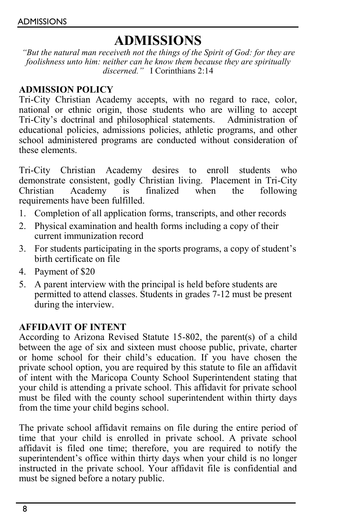# **ADMISSIONS**

*"But the natural man receiveth not the things of the Spirit of God: for they are foolishness unto him: neither can he know them because they are spiritually discerned."* I Corinthians 2:14

#### **ADMISSION POLICY**

Tri-City Christian Academy accepts, with no regard to race, color, national or ethnic origin, those students who are willing to accept Tri-City's doctrinal and philosophical statements. Administration of educational policies, admissions policies, athletic programs, and other school administered programs are conducted without consideration of these elements.

Tri-City Christian Academy desires to enroll students who demonstrate consistent, godly Christian living. Placement in Tri-City<br>Christian Academy is finalized when the following Christian Academy is finalized when the following requirements have been fulfilled.

- 1. Completion of all application forms, transcripts, and other records
- 2. Physical examination and health forms including a copy of their current immunization record
- 3. For students participating in the sports programs, a copy of student's birth certificate on file
- 4. Payment of \$20
- 5. A parent interview with the principal is held before students are permitted to attend classes. Students in grades 7-12 must be present during the interview.

#### **AFFIDAVIT OF INTENT**

According to Arizona Revised Statute 15-802, the parent(s) of a child between the age of six and sixteen must choose public, private, charter or home school for their child's education. If you have chosen the private school option, you are required by this statute to file an affidavit of intent with the Maricopa County School Superintendent stating that your child is attending a private school. This affidavit for private school must be filed with the county school superintendent within thirty days from the time your child begins school.

The private school affidavit remains on file during the entire period of time that your child is enrolled in private school. A private school affidavit is filed one time; therefore, you are required to notify the superintendent's office within thirty days when your child is no longer instructed in the private school. Your affidavit file is confidential and must be signed before a notary public.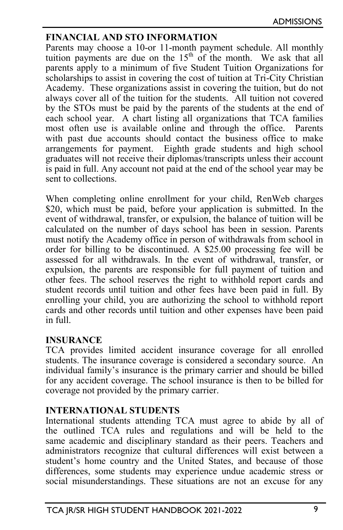#### **FINANCIAL AND STO INFORMATION**

Parents may choose a 10-or 11-month payment schedule. All monthly tuition payments are due on the  $15<sup>th</sup>$  of the month. We ask that all parents apply to a minimum of five Student Tuition Organizations for scholarships to assist in covering the cost of tuition at Tri-City Christian Academy. These organizations assist in covering the tuition, but do not always cover all of the tuition for the students. All tuition not covered by the STOs must be paid by the parents of the students at the end of each school year. A chart listing all organizations that TCA families most often use is available online and through the office. Parents with past due accounts should contact the business office to make arrangements for payment. Eighth grade students and high school graduates will not receive their diplomas/transcripts unless their account is paid in full. Any account not paid at the end of the school year may be sent to collections.

When completing online enrollment for your child, RenWeb charges \$20, which must be paid, before your application is submitted. In the event of withdrawal, transfer, or expulsion, the balance of tuition will be calculated on the number of days school has been in session. Parents must notify the Academy office in person of withdrawals from school in order for billing to be discontinued. A \$25.00 processing fee will be assessed for all withdrawals. In the event of withdrawal, transfer, or expulsion, the parents are responsible for full payment of tuition and other fees. The school reserves the right to withhold report cards and student records until tuition and other fees have been paid in full. By enrolling your child, you are authorizing the school to withhold report cards and other records until tuition and other expenses have been paid in full.

#### **INSURANCE**

TCA provides limited accident insurance coverage for all enrolled students. The insurance coverage is considered a secondary source. An individual family's insurance is the primary carrier and should be billed for any accident coverage. The school insurance is then to be billed for coverage not provided by the primary carrier.

#### **INTERNATIONAL STUDENTS**

International students attending TCA must agree to abide by all of the outlined TCA rules and regulations and will be held to the same academic and disciplinary standard as their peers. Teachers and administrators recognize that cultural differences will exist between a student's home country and the United States, and because of those differences, some students may experience undue academic stress or social misunderstandings. These situations are not an excuse for any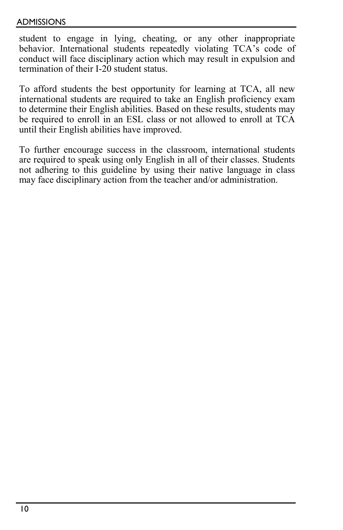#### ADMISSIONS

student to engage in lying, cheating, or any other inappropriate behavior. International students repeatedly violating TCA's code of conduct will face disciplinary action which may result in expulsion and termination of their I-20 student status.

To afford students the best opportunity for learning at TCA, all new international students are required to take an English proficiency exam to determine their English abilities. Based on these results, students may be required to enroll in an ESL class or not allowed to enroll at TCA until their English abilities have improved.

To further encourage success in the classroom, international students are required to speak using only English in all of their classes. Students not adhering to this guideline by using their native language in class may face disciplinary action from the teacher and/or administration.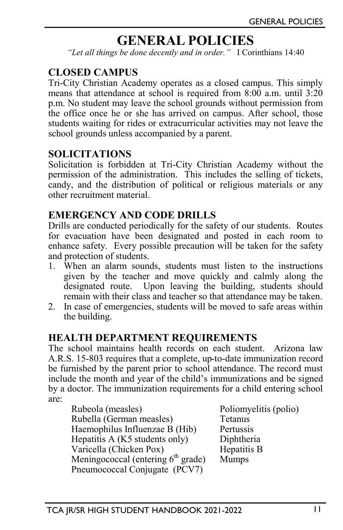# **GENERAL POLICIES**

*"Let all things be done decently and in order."* I Corinthians 14:40

#### **CLOSED CAMPUS**

Tri-City Christian Academy operates as a closed campus. This simply means that attendance at school is required from 8:00 a.m. until 3:20 p.m. No student may leave the school grounds without permission from the office once he or she has arrived on campus. After school, those students waiting for rides or extracurricular activities may not leave the school grounds unless accompanied by a parent.

#### **SOLICITATIONS**

Solicitation is forbidden at Tri-City Christian Academy without the permission of the administration. This includes the selling of tickets, candy, and the distribution of political or religious materials or any other recruitment material.

# **EMERGENCY AND CODE DRILLS**

Drills are conducted periodically for the safety of our students. Routes for evacuation have been designated and posted in each room to enhance safety. Every possible precaution will be taken for the safety and protection of students.

- 1. When an alarm sounds, students must listen to the instructions given by the teacher and move quickly and calmly along the designated route. Upon leaving the building, students should remain with their class and teacher so that attendance may be taken.
- 2. In case of emergencies, students will be moved to safe areas within the building.

#### **HEALTH DEPARTMENT REQUIREMENTS**

The school maintains health records on each student. Arizona law A.R.S. 15-803 requires that a complete, up-to-date immunization record be furnished by the parent prior to school attendance. The record must include the month and year of the child's immunizations and be signed by a doctor. The immunization requirements for a child entering school are:

| Poliomyelitis (polio) |
|-----------------------|
| Tetanus               |
| Pertussis             |
| Diphtheria            |
| Hepatitis B           |
| <b>Mumps</b>          |
|                       |
|                       |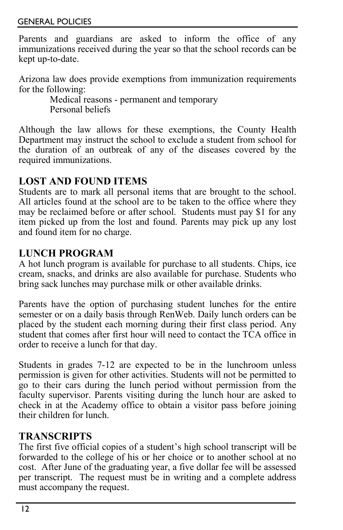Parents and guardians are asked to inform the office of any immunizations received during the year so that the school records can be kept up-to-date.

Arizona law does provide exemptions from immunization requirements for the following:

Medical reasons - permanent and temporary Personal beliefs

Although the law allows for these exemptions, the County Health Department may instruct the school to exclude a student from school for the duration of an outbreak of any of the diseases covered by the required immunizations.

# **LOST AND FOUND ITEMS**

Students are to mark all personal items that are brought to the school. All articles found at the school are to be taken to the office where they may be reclaimed before or after school. Students must pay \$1 for any item picked up from the lost and found. Parents may pick up any lost and found item for no charge.

## **LUNCH PROGRAM**

A hot lunch program is available for purchase to all students. Chips, ice cream, snacks, and drinks are also available for purchase. Students who bring sack lunches may purchase milk or other available drinks.

Parents have the option of purchasing student lunches for the entire semester or on a daily basis through RenWeb. Daily lunch orders can be placed by the student each morning during their first class period. Any student that comes after first hour will need to contact the TCA office in order to receive a lunch for that day.

Students in grades 7-12 are expected to be in the lunchroom unless permission is given for other activities. Students will not be permitted to go to their cars during the lunch period without permission from the faculty supervisor. Parents visiting during the lunch hour are asked to check in at the Academy office to obtain a visitor pass before joining their children for lunch.

# **TRANSCRIPTS**

The first five official copies of a student's high school transcript will be forwarded to the college of his or her choice or to another school at no cost. After June of the graduating year, a five dollar fee will be assessed per transcript. The request must be in writing and a complete address must accompany the request.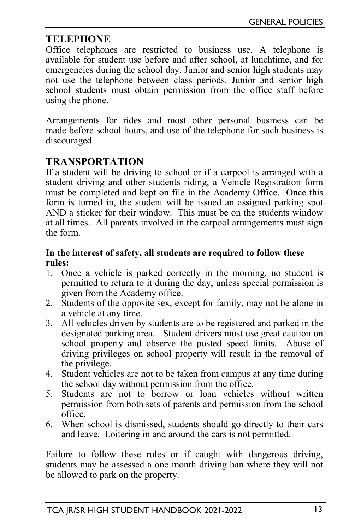# **TELEPHONE**

Office telephones are restricted to business use. A telephone is available for student use before and after school, at lunchtime, and for emergencies during the school day. Junior and senior high students may not use the telephone between class periods. Junior and senior high school students must obtain permission from the office staff before using the phone.

Arrangements for rides and most other personal business can be made before school hours, and use of the telephone for such business is discouraged.

# **TRANSPORTATION**

If a student will be driving to school or if a carpool is arranged with a student driving and other students riding, a Vehicle Registration form must be completed and kept on file in the Academy Office. Once this form is turned in, the student will be issued an assigned parking spot AND a sticker for their window. This must be on the students window at all times. All parents involved in the carpool arrangements must sign the form.

#### **In the interest of safety, all students are required to follow these rules:**

- 1. Once a vehicle is parked correctly in the morning, no student is permitted to return to it during the day, unless special permission is given from the Academy office.
- 2. Students of the opposite sex, except for family, may not be alone in a vehicle at any time.
- 3. All vehicles driven by students are to be registered and parked in the designated parking area. Student drivers must use great caution on school property and observe the posted speed limits. Abuse of driving privileges on school property will result in the removal of the privilege.
- 4. Student vehicles are not to be taken from campus at any time during the school day without permission from the office.
- 5. Students are not to borrow or loan vehicles without written permission from both sets of parents and permission from the school office.
- 6. When school is dismissed, students should go directly to their cars and leave. Loitering in and around the cars is not permitted.

Failure to follow these rules or if caught with dangerous driving, students may be assessed a one month driving ban where they will not be allowed to park on the property.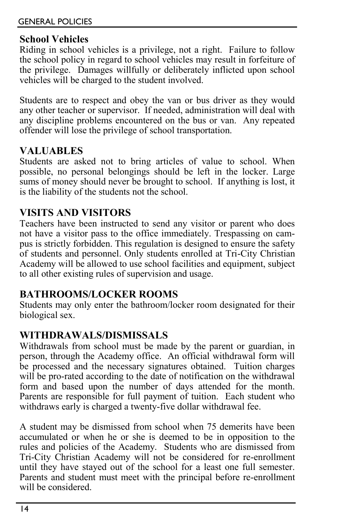# **School Vehicles**

Riding in school vehicles is a privilege, not a right. Failure to follow the school policy in regard to school vehicles may result in forfeiture of the privilege. Damages willfully or deliberately inflicted upon school vehicles will be charged to the student involved.

Students are to respect and obey the van or bus driver as they would any other teacher or supervisor. If needed, administration will deal with any discipline problems encountered on the bus or van. Any repeated offender will lose the privilege of school transportation.

# **VALUABLES**

Students are asked not to bring articles of value to school. When possible, no personal belongings should be left in the locker. Large sums of money should never be brought to school. If anything is lost, it is the liability of the students not the school.

## **VISITS AND VISITORS**

Teachers have been instructed to send any visitor or parent who does not have a visitor pass to the office immediately. Trespassing on campus is strictly forbidden. This regulation is designed to ensure the safety of students and personnel. Only students enrolled at Tri-City Christian Academy will be allowed to use school facilities and equipment, subject to all other existing rules of supervision and usage.

## **BATHROOMS/LOCKER ROOMS**

Students may only enter the bathroom/locker room designated for their biological sex.

## **WITHDRAWALS/DISMISSALS**

Withdrawals from school must be made by the parent or guardian, in person, through the Academy office. An official withdrawal form will be processed and the necessary signatures obtained. Tuition charges will be pro-rated according to the date of notification on the withdrawal form and based upon the number of days attended for the month. Parents are responsible for full payment of tuition. Each student who withdraws early is charged a twenty-five dollar withdrawal fee.

A student may be dismissed from school when 75 demerits have been accumulated or when he or she is deemed to be in opposition to the rules and policies of the Academy. Students who are dismissed from Tri-City Christian Academy will not be considered for re-enrollment until they have stayed out of the school for a least one full semester. Parents and student must meet with the principal before re-enrollment will be considered.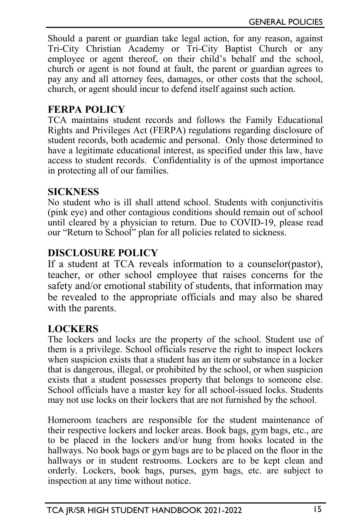Should a parent or guardian take legal action, for any reason, against Tri-City Christian Academy or Tri-City Baptist Church or any employee or agent thereof, on their child's behalf and the school, church or agent is not found at fault, the parent or guardian agrees to pay any and all attorney fees, damages, or other costs that the school, church, or agent should incur to defend itself against such action.

## **FERPA POLICY**

TCA maintains student records and follows the Family Educational Rights and Privileges Act (FERPA) regulations regarding disclosure of student records, both academic and personal. Only those determined to have a legitimate educational interest, as specified under this law, have access to student records. Confidentiality is of the upmost importance in protecting all of our families.

#### **SICKNESS**

No student who is ill shall attend school. Students with conjunctivitis (pink eye) and other contagious conditions should remain out of school until cleared by a physician to return. Due to COVID-19, please read our "Return to School" plan for all policies related to sickness.

# **DISCLOSURE POLICY**

If a student at TCA reveals information to a counselor(pastor), teacher, or other school employee that raises concerns for the safety and/or emotional stability of students, that information may be revealed to the appropriate officials and may also be shared with the parents.

## **LOCKERS**

The lockers and locks are the property of the school. Student use of them is a privilege. School officials reserve the right to inspect lockers when suspicion exists that a student has an item or substance in a locker that is dangerous, illegal, or prohibited by the school, or when suspicion exists that a student possesses property that belongs to someone else. School officials have a master key for all school-issued locks. Students may not use locks on their lockers that are not furnished by the school.

Homeroom teachers are responsible for the student maintenance of their respective lockers and locker areas. Book bags, gym bags, etc., are to be placed in the lockers and/or hung from hooks located in the hallways. No book bags or gym bags are to be placed on the floor in the hallways or in student restrooms. Lockers are to be kept clean and orderly. Lockers, book bags, purses, gym bags, etc. are subject to inspection at any time without notice.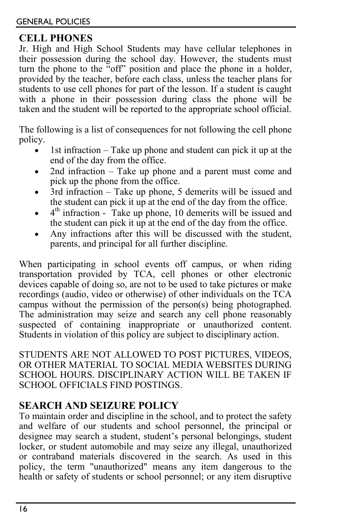# **CELL PHONES**

Jr. High and High School Students may have cellular telephones in their possession during the school day. However, the students must turn the phone to the "off" position and place the phone in a holder, provided by the teacher, before each class, unless the teacher plans for students to use cell phones for part of the lesson. If a student is caught with a phone in their possession during class the phone will be taken and the student will be reported to the appropriate school official.

The following is a list of consequences for not following the cell phone policy.

- 1st infraction  $-$  Take up phone and student can pick it up at the end of the day from the office.
- 2nd infraction Take up phone and a parent must come and pick up the phone from the office.
- 3rd infraction Take up phone, 5 demerits will be issued and the student can pick it up at the end of the day from the office.
- $\bullet$  4<sup>th</sup> infraction Take up phone, 10 demerits will be issued and the student can pick it up at the end of the day from the office.
- Any infractions after this will be discussed with the student, parents, and principal for all further discipline.

When participating in school events off campus, or when riding transportation provided by TCA, cell phones or other electronic devices capable of doing so, are not to be used to take pictures or make recordings (audio, video or otherwise) of other individuals on the TCA campus without the permission of the person(s) being photographed. The administration may seize and search any cell phone reasonably suspected of containing inappropriate or unauthorized content. Students in violation of this policy are subject to disciplinary action.

STUDENTS ARE NOT ALLOWED TO POST PICTURES, VIDEOS, OR OTHER MATERIAL TO SOCIAL MEDIA WEBSITES DURING SCHOOL HOURS. DISCIPLINARY ACTION WILL BE TAKEN IF SCHOOL OFFICIALS FIND POSTINGS.

# **SEARCH AND SEIZURE POLICY**

To maintain order and discipline in the school, and to protect the safety and welfare of our students and school personnel, the principal or designee may search a student, student's personal belongings, student locker, or student automobile and may seize any illegal, unauthorized or contraband materials discovered in the search. As used in this policy, the term "unauthorized" means any item dangerous to the health or safety of students or school personnel; or any item disruptive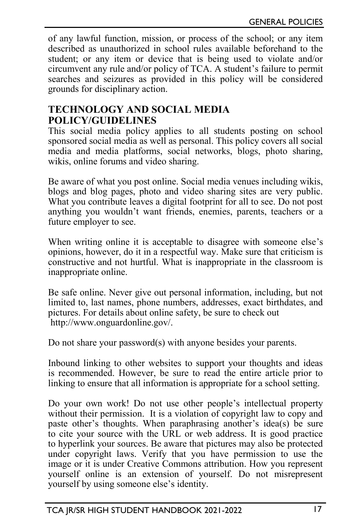of any lawful function, mission, or process of the school; or any item described as unauthorized in school rules available beforehand to the student; or any item or device that is being used to violate and/or circumvent any rule and/or policy of TCA. A student's failure to permit searches and seizures as provided in this policy will be considered grounds for disciplinary action.

#### **TECHNOLOGY AND SOCIAL MEDIA POLICY/GUIDELINES**

This social media policy applies to all students posting on school sponsored social media as well as personal. This policy covers all social media and media platforms, social networks, blogs, photo sharing, wikis, online forums and video sharing.

Be aware of what you post online. Social media venues including wikis, blogs and blog pages, photo and video sharing sites are very public. What you contribute leaves a digital footprint for all to see. Do not post anything you wouldn't want friends, enemies, parents, teachers or a future employer to see.

When writing online it is acceptable to disagree with someone else's opinions, however, do it in a respectful way. Make sure that criticism is constructive and not hurtful. What is inappropriate in the classroom is inappropriate online.

Be safe online. Never give out personal information, including, but not limited to, last names, phone numbers, addresses, exact birthdates, and pictures. For details about online safety, be sure to check out http://www.onguardonline.gov/.

Do not share your password(s) with anyone besides your parents.

Inbound linking to other websites to support your thoughts and ideas is recommended. However, be sure to read the entire article prior to linking to ensure that all information is appropriate for a school setting.

Do your own work! Do not use other people's intellectual property without their permission. It is a violation of copyright law to copy and paste other's thoughts. When paraphrasing another's idea(s) be sure to cite your source with the URL or web address. It is good practice to hyperlink your sources. Be aware that pictures may also be protected under copyright laws. Verify that you have permission to use the image or it is under Creative Commons attribution. How you represent yourself online is an extension of yourself. Do not misrepresent yourself by using someone else's identity.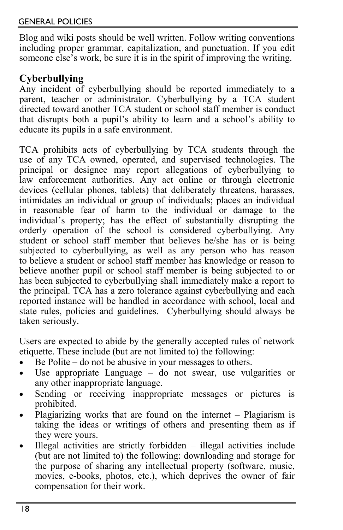Blog and wiki posts should be well written. Follow writing conventions including proper grammar, capitalization, and punctuation. If you edit someone else's work, be sure it is in the spirit of improving the writing.

# **Cyberbullying**

Any incident of cyberbullying should be reported immediately to a parent, teacher or administrator. Cyberbullying by a TCA student directed toward another TCA student or school staff member is conduct that disrupts both a pupil's ability to learn and a school's ability to educate its pupils in a safe environment.

TCA prohibits acts of cyberbullying by TCA students through the use of any TCA owned, operated, and supervised technologies. The principal or designee may report allegations of cyberbullying to law enforcement authorities. Any act online or through electronic devices (cellular phones, tablets) that deliberately threatens, harasses, intimidates an individual or group of individuals; places an individual in reasonable fear of harm to the individual or damage to the individual's property; has the effect of substantially disrupting the orderly operation of the school is considered cyberbullying. Any student or school staff member that believes he/she has or is being subjected to cyberbullying, as well as any person who has reason to believe a student or school staff member has knowledge or reason to believe another pupil or school staff member is being subjected to or has been subjected to cyberbullying shall immediately make a report to the principal. TCA has a zero tolerance against cyberbullying and each reported instance will be handled in accordance with school, local and state rules, policies and guidelines. Cyberbullying should always be taken seriously.

Users are expected to abide by the generally accepted rules of network etiquette. These include (but are not limited to) the following:

- Be Polite do not be abusive in your messages to others.
- Use appropriate Language do not swear, use vulgarities or any other inappropriate language.
- Sending or receiving inappropriate messages or pictures is prohibited.
- Plagiarizing works that are found on the internet Plagiarism is taking the ideas or writings of others and presenting them as if they were yours.
- Illegal activities are strictly forbidden  $-$  illegal activities include (but are not limited to) the following: downloading and storage for the purpose of sharing any intellectual property (software, music, movies, e-books, photos, etc.), which deprives the owner of fair compensation for their work.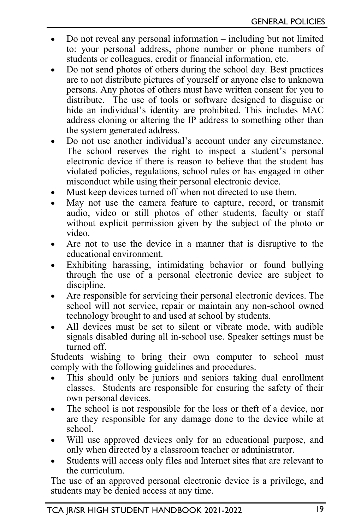- Do not reveal any personal information including but not limited to: your personal address, phone number or phone numbers of students or colleagues, credit or financial information, etc.
- Do not send photos of others during the school day. Best practices are to not distribute pictures of yourself or anyone else to unknown persons. Any photos of others must have written consent for you to distribute. The use of tools or software designed to disguise or hide an individual's identity are prohibited. This includes MAC address cloning or altering the IP address to something other than the system generated address.
- Do not use another individual's account under any circumstance. The school reserves the right to inspect a student's personal electronic device if there is reason to believe that the student has violated policies, regulations, school rules or has engaged in other misconduct while using their personal electronic device.
- Must keep devices turned off when not directed to use them.
- May not use the camera feature to capture, record, or transmit audio, video or still photos of other students, faculty or staff without explicit permission given by the subject of the photo or video.
- Are not to use the device in a manner that is disruptive to the educational environment.
- Exhibiting harassing, intimidating behavior or found bullying through the use of a personal electronic device are subject to discipline.
- Are responsible for servicing their personal electronic devices. The school will not service, repair or maintain any non-school owned technology brought to and used at school by students.
- All devices must be set to silent or vibrate mode, with audible signals disabled during all in-school use. Speaker settings must be turned off.

Students wishing to bring their own computer to school must comply with the following guidelines and procedures.

- This should only be juniors and seniors taking dual enrollment classes. Students are responsible for ensuring the safety of their own personal devices.
- The school is not responsible for the loss or theft of a device, nor are they responsible for any damage done to the device while at school.
- Will use approved devices only for an educational purpose, and only when directed by a classroom teacher or administrator.
- Students will access only files and Internet sites that are relevant to the curriculum.

The use of an approved personal electronic device is a privilege, and students may be denied access at any time.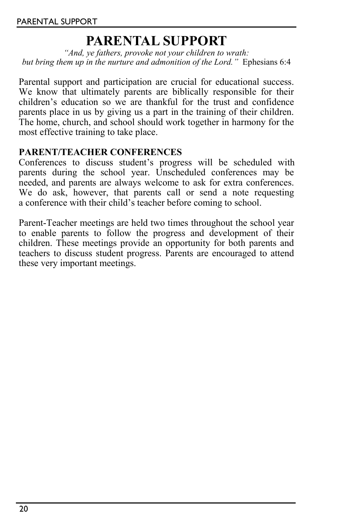# **PARENTAL SUPPORT**

*"And, ye fathers, provoke not your children to wrath: but bring them up in the nurture and admonition of the Lord."* Ephesians 6:4

Parental support and participation are crucial for educational success. We know that ultimately parents are biblically responsible for their children's education so we are thankful for the trust and confidence parents place in us by giving us a part in the training of their children. The home, church, and school should work together in harmony for the most effective training to take place.

#### **PARENT/TEACHER CONFERENCES**

Conferences to discuss student's progress will be scheduled with parents during the school year. Unscheduled conferences may be needed, and parents are always welcome to ask for extra conferences. We do ask, however, that parents call or send a note requesting a conference with their child's teacher before coming to school.

Parent-Teacher meetings are held two times throughout the school year to enable parents to follow the progress and development of their children. These meetings provide an opportunity for both parents and teachers to discuss student progress. Parents are encouraged to attend these very important meetings.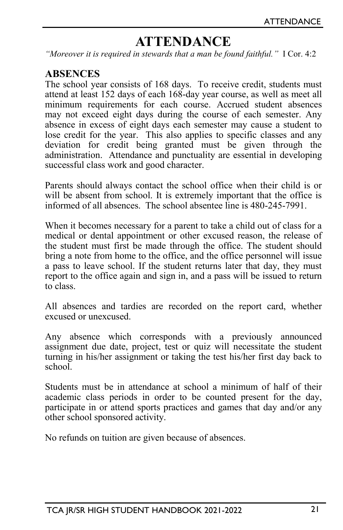# **ATTENDANCE**

*"Moreover it is required in stewards that a man be found faithful."* I Cor. 4:2

#### **ABSENCES**

The school year consists of 168 days. To receive credit, students must attend at least 152 days of each 168-day year course, as well as meet all minimum requirements for each course. Accrued student absences may not exceed eight days during the course of each semester. Any absence in excess of eight days each semester may cause a student to lose credit for the year. This also applies to specific classes and any deviation for credit being granted must be given through the administration. Attendance and punctuality are essential in developing successful class work and good character.

Parents should always contact the school office when their child is or will be absent from school. It is extremely important that the office is informed of all absences. The school absentee line is 480-245-7991.

When it becomes necessary for a parent to take a child out of class for a medical or dental appointment or other excused reason, the release of the student must first be made through the office. The student should bring a note from home to the office, and the office personnel will issue a pass to leave school. If the student returns later that day, they must report to the office again and sign in, and a pass will be issued to return to class.

All absences and tardies are recorded on the report card, whether excused or unexcused.

Any absence which corresponds with a previously announced assignment due date, project, test or quiz will necessitate the student turning in his/her assignment or taking the test his/her first day back to school.

Students must be in attendance at school a minimum of half of their academic class periods in order to be counted present for the day, participate in or attend sports practices and games that day and/or any other school sponsored activity.

No refunds on tuition are given because of absences.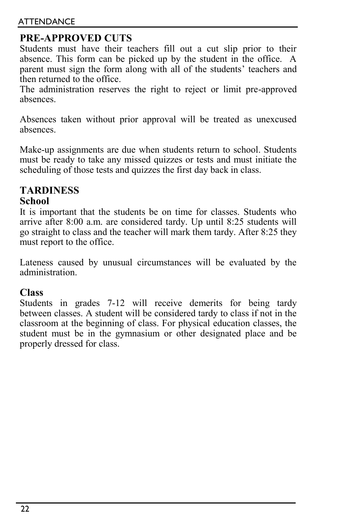#### ATTENDANCE

# **PRE-APPROVED CUTS**

Students must have their teachers fill out a cut slip prior to their absence. This form can be picked up by the student in the office. A parent must sign the form along with all of the students' teachers and then returned to the office.

The administration reserves the right to reject or limit pre-approved absences.

Absences taken without prior approval will be treated as unexcused absences.

Make-up assignments are due when students return to school. Students must be ready to take any missed quizzes or tests and must initiate the scheduling of those tests and quizzes the first day back in class.

# **TARDINESS**

#### **School**

It is important that the students be on time for classes. Students who arrive after 8:00 a.m. are considered tardy. Up until 8:25 students will go straight to class and the teacher will mark them tardy. After 8:25 they must report to the office.

Lateness caused by unusual circumstances will be evaluated by the administration.

#### **Class**

Students in grades 7-12 will receive demerits for being tardy between classes. A student will be considered tardy to class if not in the classroom at the beginning of class. For physical education classes, the student must be in the gymnasium or other designated place and be properly dressed for class.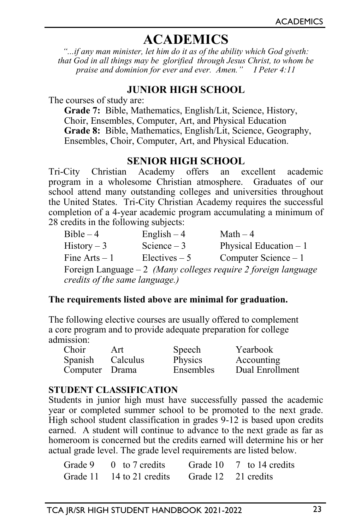# **ACADEMICS**

*"...if any man minister, let him do it as of the ability which God giveth: that God in all things may be glorified through Jesus Christ, to whom be praise and dominion for ever and ever. Amen." I Peter 4:11*

## **JUNIOR HIGH SCHOOL**

The courses of study are:

**Grade 7:** Bible, Mathematics, English/Lit, Science, History, Choir, Ensembles, Computer, Art, and Physical Education **Grade 8:** Bible, Mathematics, English/Lit, Science, Geography, Ensembles, Choir, Computer, Art, and Physical Education.

# **SENIOR HIGH SCHOOL**<br>Academy offers an ex

Tri-City Christian Academy offers an excellent academic program in a wholesome Christian atmosphere. Graduates of our school attend many outstanding colleges and universities throughout the United States. Tri-City Christian Academy requires the successful completion of a 4-year academic program accumulating a minimum of 28 credits in the following subjects:

| $Bible-4$                      | English $-4$    | Math $-4$                                                       |
|--------------------------------|-----------------|-----------------------------------------------------------------|
| $History-3$                    | Science $-3$    | Physical Education $-1$                                         |
| Fine $Arts - 1$                | $Electives - 5$ | Computer Science $-1$                                           |
|                                |                 | Foreign Language $-2$ (Many colleges require 2 foreign language |
| credits of the same language.) |                 |                                                                 |

#### **The requirements listed above are minimal for graduation.**

The following elective courses are usually offered to complement a core program and to provide adequate preparation for college admission:

| Choir            | Art | Speech    | Yearbook        |
|------------------|-----|-----------|-----------------|
| Spanish Calculus |     | Physics   | Accounting      |
| Computer Drama   |     | Ensembles | Dual Enrollment |

#### **STUDENT CLASSIFICATION**

Students in junior high must have successfully passed the academic year or completed summer school to be promoted to the next grade. High school student classification in grades 9-12 is based upon credits earned. A student will continue to advance to the next grade as far as homeroom is concerned but the credits earned will determine his or her actual grade level. The grade level requirements are listed below.

| Grade $9 \t 0 \t to 7$ credits |                     | Grade 10 7 to 14 credits |
|--------------------------------|---------------------|--------------------------|
| Grade 11 14 to 21 credits      | Grade 12 21 credits |                          |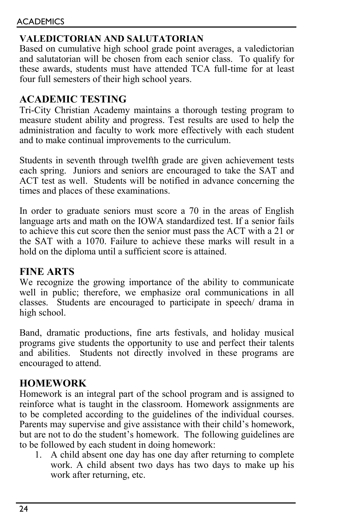# **VALEDICTORIAN AND SALUTATORIAN**

Based on cumulative high school grade point averages, a valedictorian and salutatorian will be chosen from each senior class. To qualify for these awards, students must have attended TCA full-time for at least four full semesters of their high school years.

# **ACADEMIC TESTING**

Tri-City Christian Academy maintains a thorough testing program to measure student ability and progress. Test results are used to help the administration and faculty to work more effectively with each student and to make continual improvements to the curriculum.

Students in seventh through twelfth grade are given achievement tests each spring. Juniors and seniors are encouraged to take the SAT and ACT test as well. Students will be notified in advance concerning the times and places of these examinations.

In order to graduate seniors must score a 70 in the areas of English language arts and math on the IOWA standardized test. If a senior fails to achieve this cut score then the senior must pass the ACT with a 21 or the SAT with a 1070. Failure to achieve these marks will result in a hold on the diploma until a sufficient score is attained.

## **FINE ARTS**

We recognize the growing importance of the ability to communicate well in public; therefore, we emphasize oral communications in all classes. Students are encouraged to participate in speech/ drama in high school.

Band, dramatic productions, fine arts festivals, and holiday musical programs give students the opportunity to use and perfect their talents and abilities. Students not directly involved in these programs are encouraged to attend.

## **HOMEWORK**

Homework is an integral part of the school program and is assigned to reinforce what is taught in the classroom. Homework assignments are to be completed according to the guidelines of the individual courses. Parents may supervise and give assistance with their child's homework, but are not to do the student's homework. The following guidelines are to be followed by each student in doing homework:

1. A child absent one day has one day after returning to complete work. A child absent two days has two days to make up his work after returning, etc.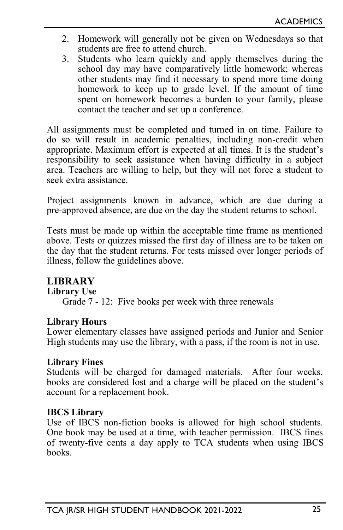- 2. Homework will generally not be given on Wednesdays so that students are free to attend church.
- 3. Students who learn quickly and apply themselves during the school day may have comparatively little homework; whereas other students may find it necessary to spend more time doing homework to keep up to grade level. If the amount of time spent on homework becomes a burden to your family, please contact the teacher and set up a conference.

All assignments must be completed and turned in on time. Failure to do so will result in academic penalties, including non-credit when appropriate. Maximum effort is expected at all times. It is the student's responsibility to seek assistance when having difficulty in a subject area. Teachers are willing to help, but they will not force a student to seek extra assistance.

Project assignments known in advance, which are due during a pre-approved absence, are due on the day the student returns to school.

Tests must be made up within the acceptable time frame as mentioned above. Tests or quizzes missed the first day of illness are to be taken on the day that the student returns. For tests missed over longer periods of illness, follow the guidelines above.

## **LIBRARY**

#### **Library Use**

Grade 7 - 12: Five books per week with three renewals

#### **Library Hours**

Lower elementary classes have assigned periods and Junior and Senior High students may use the library, with a pass, if the room is not in use.

#### **Library Fines**

Students will be charged for damaged materials. After four weeks, books are considered lost and a charge will be placed on the student's account for a replacement book.

#### **IBCS Library**

Use of IBCS non-fiction books is allowed for high school students. One book may be used at a time, with teacher permission. IBCS fines of twenty-five cents a day apply to TCA students when using IBCS books.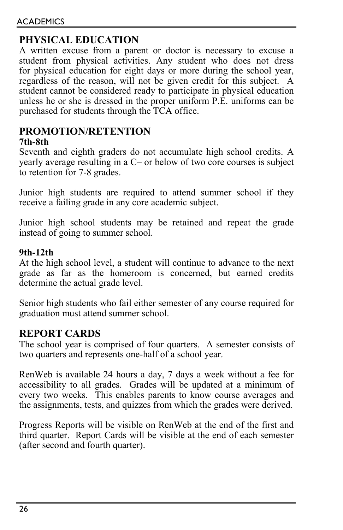# **PHYSICAL EDUCATION**

A written excuse from a parent or doctor is necessary to excuse a student from physical activities. Any student who does not dress for physical education for eight days or more during the school year, regardless of the reason, will not be given credit for this subject. A student cannot be considered ready to participate in physical education unless he or she is dressed in the proper uniform P.E. uniforms can be purchased for students through the TCA office.

# **PROMOTION/RETENTION**

#### **7th-8th**

Seventh and eighth graders do not accumulate high school credits. A yearly average resulting in a C– or below of two core courses is subject to retention for 7-8 grades.

Junior high students are required to attend summer school if they receive a failing grade in any core academic subject.

Junior high school students may be retained and repeat the grade instead of going to summer school.

#### **9th-12th**

At the high school level, a student will continue to advance to the next grade as far as the homeroom is concerned, but earned credits determine the actual grade level.

Senior high students who fail either semester of any course required for graduation must attend summer school.

## **REPORT CARDS**

The school year is comprised of four quarters. A semester consists of two quarters and represents one-half of a school year.

RenWeb is available 24 hours a day, 7 days a week without a fee for accessibility to all grades. Grades will be updated at a minimum of every two weeks. This enables parents to know course averages and the assignments, tests, and quizzes from which the grades were derived.

Progress Reports will be visible on RenWeb at the end of the first and third quarter. Report Cards will be visible at the end of each semester (after second and fourth quarter).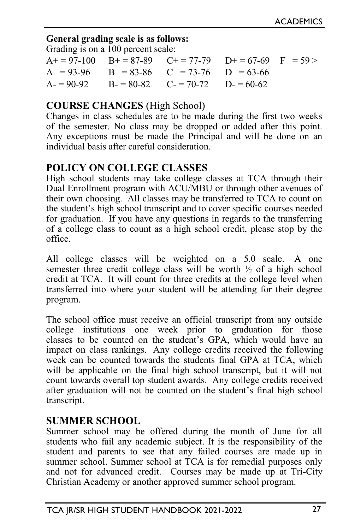#### **General grading scale is as follows:**

Grading is on a 100 percent scale:

|  | $A+ = 97-100$ $B+ = 87-89$ $C+ = 77-79$ $D+ = 67-69$ $F = 59 >$ |  |
|--|-----------------------------------------------------------------|--|
|  | $A = 93-96$ $B = 83-86$ $C = 73-76$ $D = 63-66$                 |  |
|  | $A = 90-92$ $B = 80-82$ $C = 70-72$ $D = 60-62$                 |  |

## **COURSE CHANGES** (High School)

Changes in class schedules are to be made during the first two weeks of the semester. No class may be dropped or added after this point. Any exceptions must be made the Principal and will be done on an individual basis after careful consideration.

# **POLICY ON COLLEGE CLASSES**

High school students may take college classes at TCA through their Dual Enrollment program with ACU/MBU or through other avenues of their own choosing. All classes may be transferred to TCA to count on the student's high school transcript and to cover specific courses needed for graduation. If you have any questions in regards to the transferring of a college class to count as a high school credit, please stop by the office.

All college classes will be weighted on a 5.0 scale. A one semester three credit college class will be worth ½ of a high school credit at TCA. It will count for three credits at the college level when transferred into where your student will be attending for their degree program.

The school office must receive an official transcript from any outside college institutions one week prior to graduation for those classes to be counted on the student's GPA, which would have an impact on class rankings. Any college credits received the following week can be counted towards the students final GPA at TCA, which will be applicable on the final high school transcript, but it will not count towards overall top student awards. Any college credits received after graduation will not be counted on the student's final high school transcript.

## **SUMMER SCHOOL**

Summer school may be offered during the month of June for all students who fail any academic subject. It is the responsibility of the student and parents to see that any failed courses are made up in summer school. Summer school at TCA is for remedial purposes only and not for advanced credit. Courses may be made up at Tri-City Christian Academy or another approved summer school program.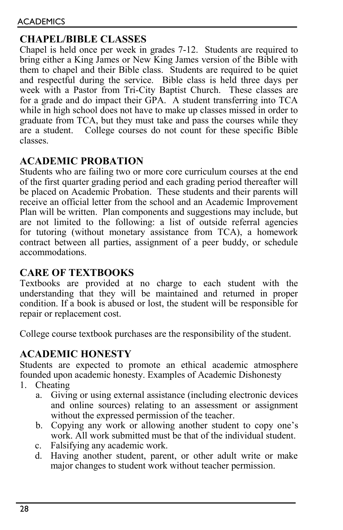# **CHAPEL/BIBLE CLASSES**

Chapel is held once per week in grades 7-12. Students are required to bring either a King James or New King James version of the Bible with them to chapel and their Bible class. Students are required to be quiet and respectful during the service. Bible class is held three days per week with a Pastor from Tri-City Baptist Church. These classes are for a grade and do impact their GPA. A student transferring into TCA while in high school does not have to make up classes missed in order to graduate from TCA, but they must take and pass the courses while they are a student. College courses do not count for these specific Bible classes.

# **ACADEMIC PROBATION**

Students who are failing two or more core curriculum courses at the end of the first quarter grading period and each grading period thereafter will be placed on Academic Probation. These students and their parents will receive an official letter from the school and an Academic Improvement Plan will be written. Plan components and suggestions may include, but are not limited to the following: a list of outside referral agencies for tutoring (without monetary assistance from TCA), a homework contract between all parties, assignment of a peer buddy, or schedule accommodations.

# **CARE OF TEXTBOOKS**

Textbooks are provided at no charge to each student with the understanding that they will be maintained and returned in proper condition. If a book is abused or lost, the student will be responsible for repair or replacement cost.

College course textbook purchases are the responsibility of the student.

# **ACADEMIC HONESTY**

Students are expected to promote an ethical academic atmosphere founded upon academic honesty. Examples of Academic Dishonesty

- 1. Cheating
	- a. Giving or using external assistance (including electronic devices and online sources) relating to an assessment or assignment without the expressed permission of the teacher.
	- b. Copying any work or allowing another student to copy one's work. All work submitted must be that of the individual student.
	- c. Falsifying any academic work.
	- d. Having another student, parent, or other adult write or make major changes to student work without teacher permission.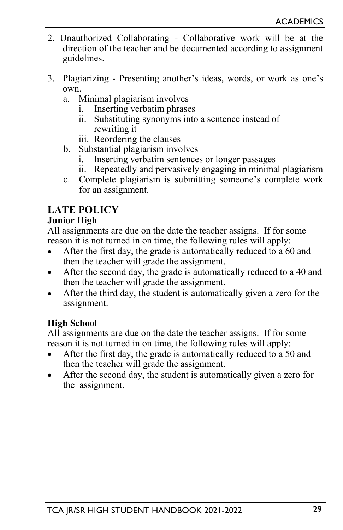- 2. Unauthorized Collaborating Collaborative work will be at the direction of the teacher and be documented according to assignment guidelines.
- 3. Plagiarizing Presenting another's ideas, words, or work as one's own.
	- a. Minimal plagiarism involves
		- i. Inserting verbatim phrases
		- ii. Substituting synonyms into a sentence instead of rewriting it
		- iii. Reordering the clauses
	- b. Substantial plagiarism involves
		- i. Inserting verbatim sentences or longer passages
		- ii. Repeatedly and pervasively engaging in minimal plagiarism
	- c. Complete plagiarism is submitting someone's complete work for an assignment.

# **LATE POLICY**

#### **Junior High**

All assignments are due on the date the teacher assigns. If for some reason it is not turned in on time, the following rules will apply:

- After the first day, the grade is automatically reduced to a 60 and then the teacher will grade the assignment.
- After the second day, the grade is automatically reduced to a 40 and then the teacher will grade the assignment.
- After the third day, the student is automatically given a zero for the assignment.

#### **High School**

All assignments are due on the date the teacher assigns. If for some reason it is not turned in on time, the following rules will apply:

- After the first day, the grade is automatically reduced to a 50 and then the teacher will grade the assignment.
- After the second day, the student is automatically given a zero for the assignment.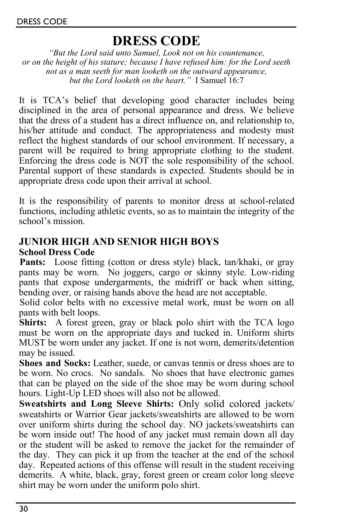# **DRESS CODE**

*"But the Lord said unto Samuel, Look not on his countenance, or on the height of his stature; because I have refused him: for the Lord seeth not as a man seeth for man looketh on the outward appearance, but the Lord looketh on the heart."* I Samuel 16:7

It is TCA's belief that developing good character includes being disciplined in the area of personal appearance and dress. We believe that the dress of a student has a direct influence on, and relationship to, his/her attitude and conduct. The appropriateness and modesty must reflect the highest standards of our school environment. If necessary, a parent will be required to bring appropriate clothing to the student. Enforcing the dress code is NOT the sole responsibility of the school. Parental support of these standards is expected. Students should be in appropriate dress code upon their arrival at school.

It is the responsibility of parents to monitor dress at school-related functions, including athletic events, so as to maintain the integrity of the school's mission.

# **JUNIOR HIGH AND SENIOR HIGH BOYS**

#### **School Dress Code**

Pants: Loose fitting (cotton or dress style) black, tan/khaki, or gray pants may be worn. No joggers, cargo or skinny style. Low-riding pants that expose undergarments, the midriff or back when sitting, bending over, or raising hands above the head are not acceptable.

Solid color belts with no excessive metal work, must be worn on all pants with belt loops.

**Shirts:** A forest green, gray or black polo shirt with the TCA logo must be worn on the appropriate days and tucked in. Uniform shirts MUST be worn under any jacket. If one is not worn, demerits/detention may be issued.

**Shoes and Socks:** Leather, suede, or canvas tennis or dress shoes are to be worn. No crocs. No sandals. No shoes that have electronic games that can be played on the side of the shoe may be worn during school hours. Light-Up LED shoes will also not be allowed.

**Sweatshirts and Long Sleeve Shirts:** Only solid colored jackets/ sweatshirts or Warrior Gear jackets/sweatshirts are allowed to be worn over uniform shirts during the school day. NO jackets/sweatshirts can be worn inside out! The hood of any jacket must remain down all day or the student will be asked to remove the jacket for the remainder of the day. They can pick it up from the teacher at the end of the school day. Repeated actions of this offense will result in the student receiving demerits. A white, black, gray, forest green or cream color long sleeve shirt may be worn under the uniform polo shirt.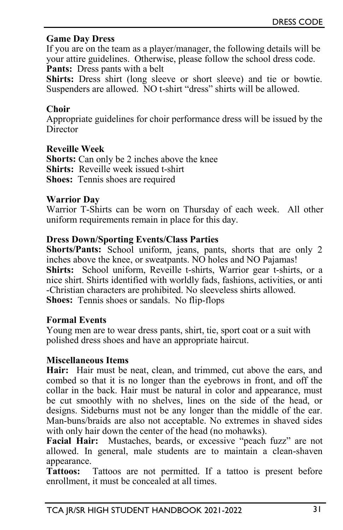#### **Game Day Dress**

If you are on the team as a player/manager, the following details will be your attire guidelines. Otherwise, please follow the school dress code. Pants: Dress pants with a belt

**Shirts:** Dress shirt (long sleeve or short sleeve) and tie or bowtie. Suspenders are allowed. NO t-shirt "dress" shirts will be allowed.

#### **Choir**

Appropriate guidelines for choir performance dress will be issued by the **Director** 

#### **Reveille Week**

**Shorts:** Can only be 2 inches above the knee **Shirts:** Reveille week issued t-shirt **Shoes:** Tennis shoes are required

#### **Warrior Day**

Warrior T-Shirts can be worn on Thursday of each week. All other uniform requirements remain in place for this day.

#### **Dress Down/Sporting Events/Class Parties**

**Shorts/Pants:** School uniform, jeans, pants, shorts that are only 2 inches above the knee, or sweatpants. NO holes and NO Pajamas! **Shirts:** School uniform, Reveille t-shirts, Warrior gear t-shirts, or a

nice shirt. Shirts identified with worldly fads, fashions, activities, or anti -Christian characters are prohibited. No sleeveless shirts allowed.

**Shoes:** Tennis shoes or sandals. No flip-flops

#### **Formal Events**

Young men are to wear dress pants, shirt, tie, sport coat or a suit with polished dress shoes and have an appropriate haircut.

#### **Miscellaneous Items**

**Hair:** Hair must be neat, clean, and trimmed, cut above the ears, and combed so that it is no longer than the eyebrows in front, and off the collar in the back. Hair must be natural in color and appearance, must be cut smoothly with no shelves, lines on the side of the head, or designs. Sideburns must not be any longer than the middle of the ear. Man-buns/braids are also not acceptable. No extremes in shaved sides with only hair down the center of the head (no mohawks).

**Facial Hair:** Mustaches, beards, or excessive "peach fuzz" are not allowed. In general, male students are to maintain a clean-shaven appearance.

**Tattoos:** Tattoos are not permitted. If a tattoo is present before enrollment, it must be concealed at all times.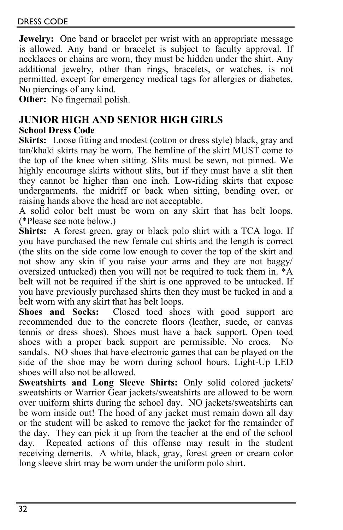**Jewelry:** One band or bracelet per wrist with an appropriate message is allowed. Any band or bracelet is subject to faculty approval. If necklaces or chains are worn, they must be hidden under the shirt. Any additional jewelry, other than rings, bracelets, or watches, is not permitted, except for emergency medical tags for allergies or diabetes. No piercings of any kind.

**Other:** No fingernail polish.

# **JUNIOR HIGH AND SENIOR HIGH GIRLS**

# **School Dress Code**

Skirts: Loose fitting and modest (cotton or dress style) black, gray and tan/khaki skirts may be worn. The hemline of the skirt MUST come to the top of the knee when sitting. Slits must be sewn, not pinned. We highly encourage skirts without slits, but if they must have a slit then they cannot be higher than one inch. Low-riding skirts that expose undergarments, the midriff or back when sitting, bending over, or raising hands above the head are not acceptable.

A solid color belt must be worn on any skirt that has belt loops. (\*Please see note below.)

**Shirts:** A forest green, gray or black polo shirt with a TCA logo. If you have purchased the new female cut shirts and the length is correct (the slits on the side come low enough to cover the top of the skirt and not show any skin if you raise your arms and they are not baggy/ oversized untucked) then you will not be required to tuck them in. \*A belt will not be required if the shirt is one approved to be untucked. If you have previously purchased shirts then they must be tucked in and a belt worn with any skirt that has belt loops.<br>Shoes and Socks: Closed toed shoe

Closed toed shoes with good support are recommended due to the concrete floors (leather, suede, or canvas tennis or dress shoes). Shoes must have a back support. Open toed shoes with a proper back support are permissible. No crocs. No sandals. NO shoes that have electronic games that can be played on the side of the shoe may be worn during school hours. Light-Up LED shoes will also not be allowed.

**Sweatshirts and Long Sleeve Shirts:** Only solid colored jackets/ sweatshirts or Warrior Gear jackets/sweatshirts are allowed to be worn over uniform shirts during the school day. NO jackets/sweatshirts can be worn inside out! The hood of any jacket must remain down all day or the student will be asked to remove the jacket for the remainder of the day. They can pick it up from the teacher at the end of the school day. Repeated actions of this offense may result in the student receiving demerits. A white, black, gray, forest green or cream color long sleeve shirt may be worn under the uniform polo shirt.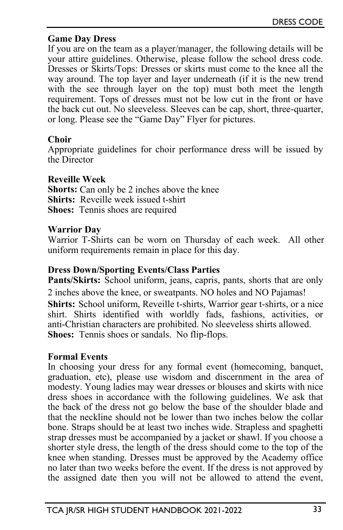#### **Game Day Dress**

If you are on the team as a player/manager, the following details will be your attire guidelines. Otherwise, please follow the school dress code. Dresses or Skirts/Tops: Dresses or skirts must come to the knee all the way around. The top layer and layer underneath (if it is the new trend with the see through layer on the top) must both meet the length requirement. Tops of dresses must not be low cut in the front or have the back cut out. No sleeveless. Sleeves can be cap, short, three-quarter, or long. Please see the "Game Day" Flyer for pictures.

#### **Choir**

Appropriate guidelines for choir performance dress will be issued by the Director

#### **Reveille Week**

**Shorts:** Can only be 2 inches above the knee **Shirts:** Reveille week issued t-shirt **Shoes:** Tennis shoes are required

#### **Warrior Day**

Warrior T-Shirts can be worn on Thursday of each week. All other uniform requirements remain in place for this day.

#### **Dress Down/Sporting Events/Class Parties**

**Pants/Skirts:** School uniform, jeans, capris, pants, shorts that are only 2 inches above the knee, or sweatpants. NO holes and NO Pajamas! **Shirts:** School uniform, Reveille t-shirts, Warrior gear t-shirts, or a nice shirt. Shirts identified with worldly fads, fashions, activities, or anti-Christian characters are prohibited. No sleeveless shirts allowed. **Shoes:** Tennis shoes or sandals. No flip-flops.

#### **Formal Events**

In choosing your dress for any formal event (homecoming, banquet, graduation, etc), please use wisdom and discernment in the area of modesty. Young ladies may wear dresses or blouses and skirts with nice dress shoes in accordance with the following guidelines. We ask that the back of the dress not go below the base of the shoulder blade and that the neckline should not be lower than two inches below the collar bone. Straps should be at least two inches wide. Strapless and spaghetti strap dresses must be accompanied by a jacket or shawl. If you choose a shorter style dress, the length of the dress should come to the top of the knee when standing. Dresses must be approved by the Academy office no later than two weeks before the event. If the dress is not approved by the assigned date then you will not be allowed to attend the event,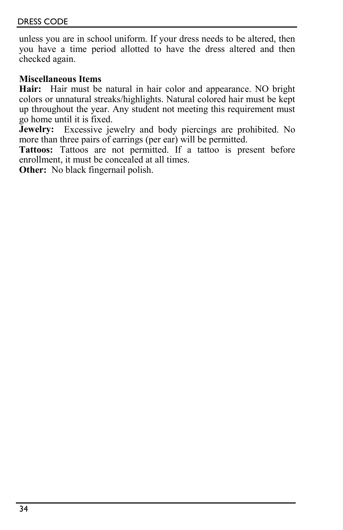unless you are in school uniform. If your dress needs to be altered, then you have a time period allotted to have the dress altered and then checked again.

#### **Miscellaneous Items**

**Hair:** Hair must be natural in hair color and appearance. NO bright colors or unnatural streaks/highlights. Natural colored hair must be kept up throughout the year. Any student not meeting this requirement must go home until it is fixed.

**Jewelry:** Excessive jewelry and body piercings are prohibited. No more than three pairs of earrings (per ear) will be permitted.

**Tattoos:** Tattoos are not permitted. If a tattoo is present before enrollment, it must be concealed at all times.

**Other:** No black fingernail polish.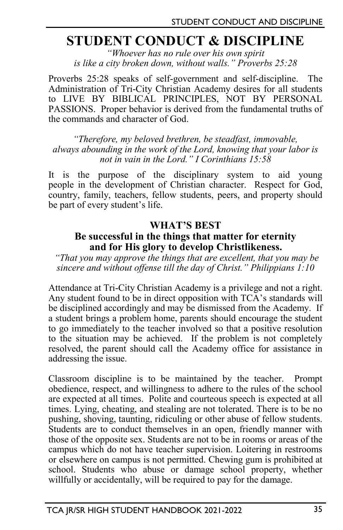# **STUDENT CONDUCT & DISCIPLINE**

*"Whoever has no rule over his own spirit is like a city broken down, without walls." Proverbs 25:28*

Proverbs 25:28 speaks of self-government and self-discipline. The Administration of Tri-City Christian Academy desires for all students to LIVE BY BIBLICAL PRINCIPLES, NOT BY PERSONAL PASSIONS. Proper behavior is derived from the fundamental truths of the commands and character of God.

*"Therefore, my beloved brethren, be steadfast, immovable, always abounding in the work of the Lord, knowing that your labor is not in vain in the Lord." I Corinthians 15:58*

It is the purpose of the disciplinary system to aid young people in the development of Christian character. Respect for God, country, family, teachers, fellow students, peers, and property should be part of every student's life.

#### **WHAT'S BEST**

#### **Be successful in the things that matter for eternity and for His glory to develop Christlikeness.**

*"That you may approve the things that are excellent, that you may be sincere and without offense till the day of Christ." Philippians 1:10*

Attendance at Tri-City Christian Academy is a privilege and not a right. Any student found to be in direct opposition with TCA's standards will be disciplined accordingly and may be dismissed from the Academy. If a student brings a problem home, parents should encourage the student to go immediately to the teacher involved so that a positive resolution to the situation may be achieved. If the problem is not completely resolved, the parent should call the Academy office for assistance in addressing the issue.

Classroom discipline is to be maintained by the teacher. Prompt obedience, respect, and willingness to adhere to the rules of the school are expected at all times. Polite and courteous speech is expected at all times. Lying, cheating, and stealing are not tolerated. There is to be no pushing, shoving, taunting, ridiculing or other abuse of fellow students. Students are to conduct themselves in an open, friendly manner with those of the opposite sex. Students are not to be in rooms or areas of the campus which do not have teacher supervision. Loitering in restrooms or elsewhere on campus is not permitted. Chewing gum is prohibited at school. Students who abuse or damage school property, whether willfully or accidentally, will be required to pay for the damage.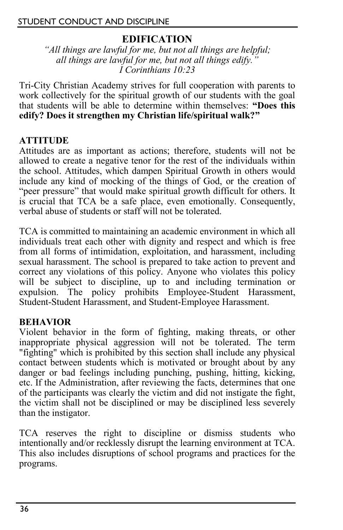#### STUDENT CONDUCT AND DISCIPLINE

# **EDIFICATION**

*"All things are lawful for me, but not all things are helpful; all things are lawful for me, but not all things edify." I Corinthians 10:23*

Tri-City Christian Academy strives for full cooperation with parents to work collectively for the spiritual growth of our students with the goal that students will be able to determine within themselves: **"Does this edify? Does it strengthen my Christian life/spiritual walk?"**

#### **ATTITUDE**

Attitudes are as important as actions; therefore, students will not be allowed to create a negative tenor for the rest of the individuals within the school. Attitudes, which dampen Spiritual Growth in others would include any kind of mocking of the things of God, or the creation of "peer pressure" that would make spiritual growth difficult for others. It is crucial that TCA be a safe place, even emotionally. Consequently, verbal abuse of students or staff will not be tolerated.

TCA is committed to maintaining an academic environment in which all individuals treat each other with dignity and respect and which is free from all forms of intimidation, exploitation, and harassment, including sexual harassment. The school is prepared to take action to prevent and correct any violations of this policy. Anyone who violates this policy will be subject to discipline, up to and including termination or expulsion. The policy prohibits Employee-Student Harassment, Student-Student Harassment, and Student-Employee Harassment.

#### **BEHAVIOR**

Violent behavior in the form of fighting, making threats, or other inappropriate physical aggression will not be tolerated. The term "fighting" which is prohibited by this section shall include any physical contact between students which is motivated or brought about by any danger or bad feelings including punching, pushing, hitting, kicking, etc. If the Administration, after reviewing the facts, determines that one of the participants was clearly the victim and did not instigate the fight, the victim shall not be disciplined or may be disciplined less severely than the instigator.

TCA reserves the right to discipline or dismiss students who intentionally and/or recklessly disrupt the learning environment at TCA. This also includes disruptions of school programs and practices for the programs.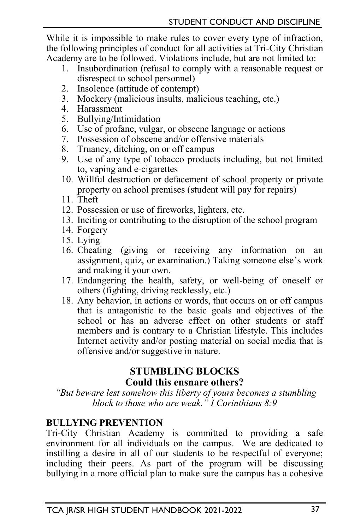While it is impossible to make rules to cover every type of infraction, the following principles of conduct for all activities at Tri-City Christian Academy are to be followed. Violations include, but are not limited to:

- 1. Insubordination (refusal to comply with a reasonable request or disrespect to school personnel)
- 2. Insolence (attitude of contempt)
- 3. Mockery (malicious insults, malicious teaching, etc.)
- 4. Harassment
- 5. Bullying/Intimidation
- 6. Use of profane, vulgar, or obscene language or actions
- 7. Possession of obscene and/or offensive materials
- 8. Truancy, ditching, on or off campus
- 9. Use of any type of tobacco products including, but not limited to, vaping and e-cigarettes
- 10. Willful destruction or defacement of school property or private property on school premises (student will pay for repairs)
- 11. Theft
- 12. Possession or use of fireworks, lighters, etc.
- 13. Inciting or contributing to the disruption of the school program
- 14. Forgery
- 15. Lying
- 16. Cheating (giving or receiving any information on an assignment, quiz, or examination.) Taking someone else's work and making it your own.
- 17. Endangering the health, safety, or well-being of oneself or others (fighting, driving recklessly, etc.)
- 18. Any behavior, in actions or words, that occurs on or off campus that is antagonistic to the basic goals and objectives of the school or has an adverse effect on other students or staff members and is contrary to a Christian lifestyle. This includes Internet activity and/or posting material on social media that is offensive and/or suggestive in nature.

## **STUMBLING BLOCKS Could this ensnare others?**

*"But beware lest somehow this liberty of yours becomes a stumbling block to those who are weak." I Corinthians 8:9*

## **BULLYING PREVENTION**

Tri-City Christian Academy is committed to providing a safe environment for all individuals on the campus. We are dedicated to instilling a desire in all of our students to be respectful of everyone; including their peers. As part of the program will be discussing bullying in a more official plan to make sure the campus has a cohesive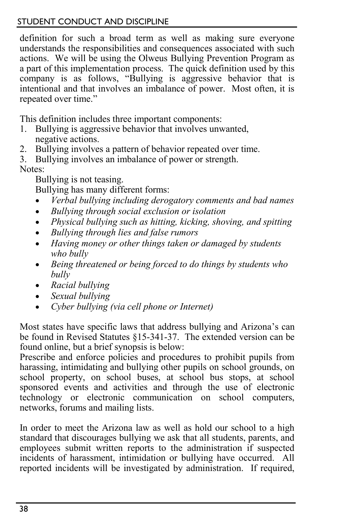#### STUDENT CONDUCT AND DISCIPLINE

definition for such a broad term as well as making sure everyone understands the responsibilities and consequences associated with such actions. We will be using the Olweus Bullying Prevention Program as a part of this implementation process. The quick definition used by this company is as follows, "Bullying is aggressive behavior that is intentional and that involves an imbalance of power. Most often, it is repeated over time."

This definition includes three important components:

- 1. Bullying is aggressive behavior that involves unwanted, negative actions.
- 2. Bullying involves a pattern of behavior repeated over time.
- 3. Bullying involves an imbalance of power or strength.

Notes:

Bullying is not teasing.

Bullying has many different forms:

- *Verbal bullying including derogatory comments and bad names*
- *Bullying through social exclusion or isolation*
- *Physical bullying such as hitting, kicking, shoving, and spitting*
- *Bullying through lies and false rumors*
- *Having money or other things taken or damaged by students who bully*
- *Being threatened or being forced to do things by students who bully*
- *Racial bullying*
- *Sexual bullying*
- *Cyber bullying (via cell phone or Internet)*

Most states have specific laws that address bullying and Arizona's can be found in Revised Statutes §15-341-37. The extended version can be found online, but a brief synopsis is below:

Prescribe and enforce policies and procedures to prohibit pupils from harassing, intimidating and bullying other pupils on school grounds, on school property, on school buses, at school bus stops, at school sponsored events and activities and through the use of electronic technology or electronic communication on school computers, networks, forums and mailing lists.

In order to meet the Arizona law as well as hold our school to a high standard that discourages bullying we ask that all students, parents, and employees submit written reports to the administration if suspected incidents of harassment, intimidation or bullying have occurred. All reported incidents will be investigated by administration. If required,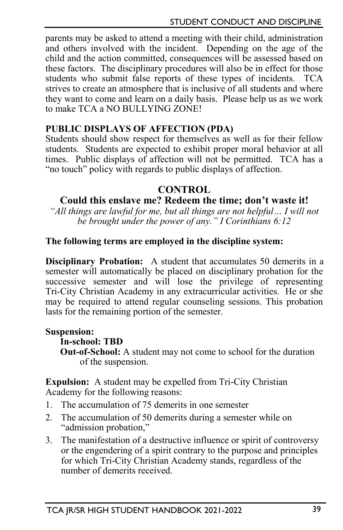parents may be asked to attend a meeting with their child, administration and others involved with the incident. Depending on the age of the child and the action committed, consequences will be assessed based on these factors. The disciplinary procedures will also be in effect for those students who submit false reports of these types of incidents. TCA strives to create an atmosphere that is inclusive of all students and where they want to come and learn on a daily basis. Please help us as we work to make TCA a NO BULLYING ZONE!

#### **PUBLIC DISPLAYS OF AFFECTION (PDA)**

Students should show respect for themselves as well as for their fellow students. Students are expected to exhibit proper moral behavior at all times. Public displays of affection will not be permitted. TCA has a "no touch" policy with regards to public displays of affection.

#### **CONTROL**

## **Could this enslave me? Redeem the time; don't waste it!**

*"All things are lawful for me, but all things are not helpful… I will not be brought under the power of any." I Corinthians 6:12*

#### **The following terms are employed in the discipline system:**

**Disciplinary Probation:** A student that accumulates 50 demerits in a semester will automatically be placed on disciplinary probation for the successive semester and will lose the privilege of representing Tri-City Christian Academy in any extracurricular activities. He or she may be required to attend regular counseling sessions. This probation lasts for the remaining portion of the semester.

#### **Suspension:**

#### **In-school: TBD**

**Out-of-School:** A student may not come to school for the duration of the suspension.

**Expulsion:** A student may be expelled from Tri-City Christian Academy for the following reasons:

- 1. The accumulation of 75 demerits in one semester
- 2. The accumulation of 50 demerits during a semester while on "admission probation,"
- 3. The manifestation of a destructive influence or spirit of controversy or the engendering of a spirit contrary to the purpose and principles for which Tri-City Christian Academy stands, regardless of the number of demerits received.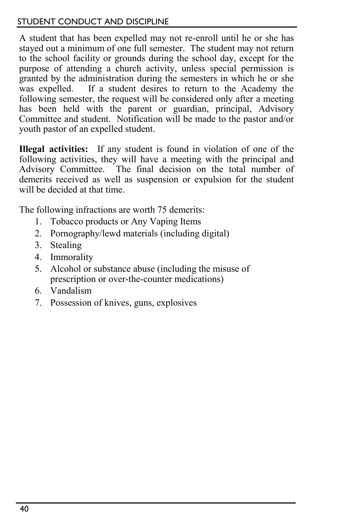#### STUDENT CONDUCT AND DISCIPLINE

A student that has been expelled may not re-enroll until he or she has stayed out a minimum of one full semester. The student may not return to the school facility or grounds during the school day, except for the purpose of attending a church activity, unless special permission is granted by the administration during the semesters in which he or she was expelled. If a student desires to return to the Academy the following semester, the request will be considered only after a meeting has been held with the parent or guardian, principal, Advisory Committee and student. Notification will be made to the pastor and/or youth pastor of an expelled student.

**Illegal activities:** If any student is found in violation of one of the following activities, they will have a meeting with the principal and Advisory Committee. The final decision on the total number of demerits received as well as suspension or expulsion for the student will be decided at that time.

The following infractions are worth 75 demerits:

- 1. Tobacco products or Any Vaping Items
- 2. Pornography/lewd materials (including digital)
- 3. Stealing
- 4. Immorality
- 5. Alcohol or substance abuse (including the misuse of prescription or over-the-counter medications)
- 6. Vandalism
- 7. Possession of knives, guns, explosives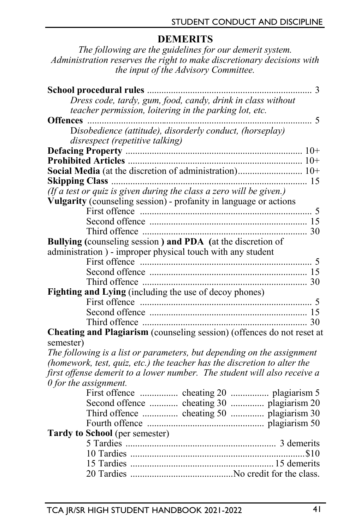# **DEMERITS**

*The following are the guidelines for our demerit system. Administration reserves the right to make discretionary decisions with the input of the Advisory Committee.* 

| School procedural rules<br>. 3                                                |  |
|-------------------------------------------------------------------------------|--|
| Dress code, tardy, gum, food, candy, drink in class without                   |  |
| teacher permission, loitering in the parking lot, etc.                        |  |
| $\sim$ 5<br><b>Offences</b>                                                   |  |
| Disobedience (attitude), disorderly conduct, (horseplay)                      |  |
| disrespect (repetitive talking)                                               |  |
|                                                                               |  |
|                                                                               |  |
| Social Media (at the discretion of administration) 10+                        |  |
|                                                                               |  |
| (If $\tilde{a}$ test or quiz is given during the class a zero will be given.) |  |
| Vulgarity (counseling session) - profanity in language or actions             |  |
|                                                                               |  |
|                                                                               |  |
|                                                                               |  |
| Bullying (counseling session) and PDA (at the discretion of                   |  |
| administration) - improper physical touch with any student                    |  |
|                                                                               |  |
|                                                                               |  |
|                                                                               |  |
| Fighting and Lying (including the use of decoy phones)                        |  |
|                                                                               |  |
|                                                                               |  |
|                                                                               |  |
| Cheating and Plagiarism (counseling session) (offences do not reset at        |  |
| semester)                                                                     |  |
| The following is a list or parameters, but depending on the assignment        |  |
| (homework, test, quiz, etc.) the teacher has the discretion to alter the      |  |
| first offense demerit to a lower number. The student will also receive a      |  |
| $\theta$ for the assignment.                                                  |  |
| First offence  cheating 20  plagiarism 5                                      |  |
| Second offence  cheating 30  plagiarism 20                                    |  |
| Third offence  cheating 50  plagiarism 30                                     |  |
|                                                                               |  |
| <b>Tardy to School</b> (per semester)                                         |  |
|                                                                               |  |
|                                                                               |  |
|                                                                               |  |
|                                                                               |  |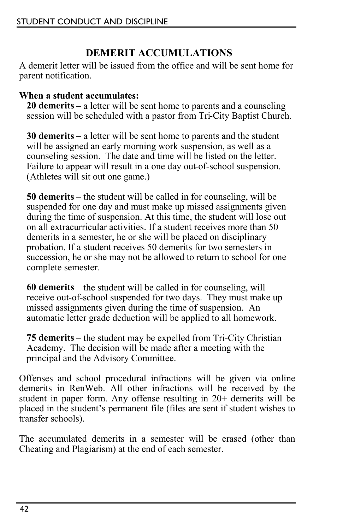# **DEMERIT ACCUMULATIONS**

A demerit letter will be issued from the office and will be sent home for parent notification.

#### **When a student accumulates:**

**20 demerits** – a letter will be sent home to parents and a counseling session will be scheduled with a pastor from Tri-City Baptist Church.

**30 demerits** – a letter will be sent home to parents and the student will be assigned an early morning work suspension, as well as a counseling session. The date and time will be listed on the letter. Failure to appear will result in a one day out-of-school suspension. (Athletes will sit out one game.)

**50 demerits** – the student will be called in for counseling, will be suspended for one day and must make up missed assignments given during the time of suspension. At this time, the student will lose out on all extracurricular activities. If a student receives more than 50 demerits in a semester, he or she will be placed on disciplinary probation. If a student receives 50 demerits for two semesters in succession, he or she may not be allowed to return to school for one complete semester.

**60 demerits** – the student will be called in for counseling, will receive out-of-school suspended for two days. They must make up missed assignments given during the time of suspension. An automatic letter grade deduction will be applied to all homework.

**75 demerits** – the student may be expelled from Tri-City Christian Academy. The decision will be made after a meeting with the principal and the Advisory Committee.

Offenses and school procedural infractions will be given via online demerits in RenWeb. All other infractions will be received by the student in paper form. Any offense resulting in 20+ demerits will be placed in the student's permanent file (files are sent if student wishes to transfer schools).

The accumulated demerits in a semester will be erased (other than Cheating and Plagiarism) at the end of each semester.